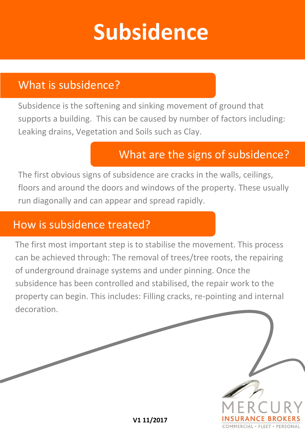## **Subsidence**

### What is subsidence?

Subsidence is the softening and sinking movement of ground that supports a building. This can be caused by number of factors including: Leaking drains, Vegetation and Soils such as Clay.

## What are the signs of subsidence?

The first obvious signs of subsidence are cracks in the walls, ceilings, floors and around the doors and windows of the property. These usually run diagonally and can appear and spread rapidly.

#### How is subsidence treated?

The first most important step is to stabilise the movement. This process can be achieved through: The removal of trees/tree roots, the repairing of underground drainage systems and under pinning. Once the subsidence has been controlled and stabilised, the repair work to the property can begin. This includes: Filling cracks, re-pointing and internal decoration.

**V1 11/2017**